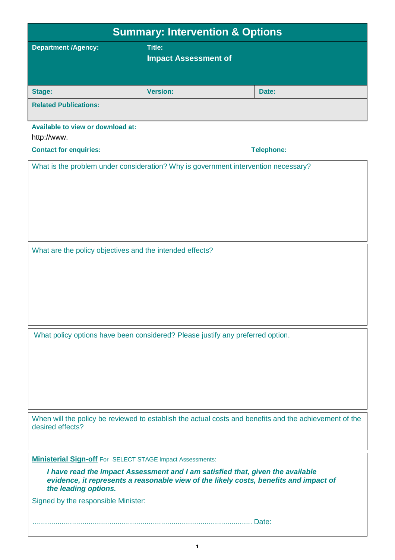| <b>Summary: Intervention &amp; Options</b>                                                                                                                                                      |                                              |                   |  |  |  |  |
|-------------------------------------------------------------------------------------------------------------------------------------------------------------------------------------------------|----------------------------------------------|-------------------|--|--|--|--|
| <b>Department /Agency:</b>                                                                                                                                                                      | <b>Title:</b><br><b>Impact Assessment of</b> |                   |  |  |  |  |
| <b>Stage:</b>                                                                                                                                                                                   | <b>Version:</b>                              | Date:             |  |  |  |  |
| <b>Related Publications:</b>                                                                                                                                                                    |                                              |                   |  |  |  |  |
| Available to view or download at:<br>http://www.                                                                                                                                                |                                              |                   |  |  |  |  |
| <b>Contact for enquiries:</b>                                                                                                                                                                   |                                              | <b>Telephone:</b> |  |  |  |  |
| What is the problem under consideration? Why is government intervention necessary?                                                                                                              |                                              |                   |  |  |  |  |
| What are the policy objectives and the intended effects?                                                                                                                                        |                                              |                   |  |  |  |  |
| What policy options have been considered? Please justify any preferred option.                                                                                                                  |                                              |                   |  |  |  |  |
| When will the policy be reviewed to establish the actual costs and benefits and the achievement of the<br>desired effects?                                                                      |                                              |                   |  |  |  |  |
| <b>Ministerial Sign-off</b> For SELECT STAGE Impact Assessments:                                                                                                                                |                                              |                   |  |  |  |  |
| I have read the Impact Assessment and I am satisfied that, given the available<br>evidence, it represents a reasonable view of the likely costs, benefits and impact of<br>the leading options. |                                              |                   |  |  |  |  |
| Signed by the responsible Minister:                                                                                                                                                             |                                              |                   |  |  |  |  |
|                                                                                                                                                                                                 |                                              |                   |  |  |  |  |

**1**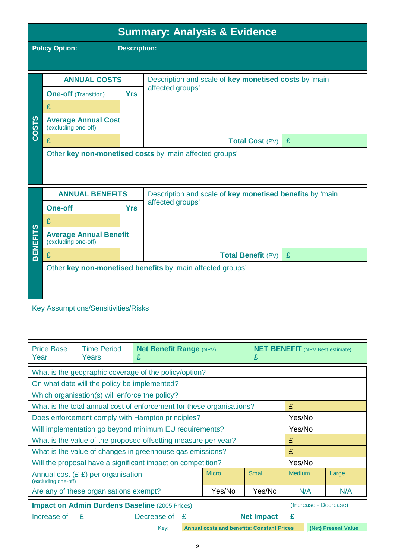| <b>Summary: Analysis &amp; Evidence</b>                                        |                                                                                                                                               |                                                         |                                                       |                                                          |        |                           |   |  |
|--------------------------------------------------------------------------------|-----------------------------------------------------------------------------------------------------------------------------------------------|---------------------------------------------------------|-------------------------------------------------------|----------------------------------------------------------|--------|---------------------------|---|--|
| <b>Policy Option:</b><br><b>Description:</b>                                   |                                                                                                                                               |                                                         |                                                       |                                                          |        |                           |   |  |
|                                                                                |                                                                                                                                               |                                                         |                                                       |                                                          |        |                           |   |  |
|                                                                                | <b>ANNUAL COSTS</b>                                                                                                                           |                                                         | Description and scale of key monetised costs by 'main |                                                          |        |                           |   |  |
|                                                                                | <b>One-off</b> (Transition)                                                                                                                   |                                                         | <b>Yrs</b>                                            | affected groups'                                         |        |                           |   |  |
|                                                                                | £                                                                                                                                             |                                                         |                                                       |                                                          |        |                           |   |  |
| <b>COSTS</b>                                                                   |                                                                                                                                               | <b>Average Annual Cost</b><br>(excluding one-off)       |                                                       |                                                          |        |                           |   |  |
|                                                                                | £                                                                                                                                             |                                                         |                                                       |                                                          |        | <b>Total Cost (PV)</b>    | £ |  |
|                                                                                |                                                                                                                                               | Other key non-monetised costs by 'main affected groups' |                                                       |                                                          |        |                           |   |  |
|                                                                                |                                                                                                                                               | <b>ANNUAL BENEFITS</b>                                  |                                                       | Description and scale of key monetised benefits by 'main |        |                           |   |  |
|                                                                                | <b>One-off</b>                                                                                                                                |                                                         | <b>Yrs</b>                                            | affected groups'                                         |        |                           |   |  |
|                                                                                | £                                                                                                                                             |                                                         |                                                       |                                                          |        |                           |   |  |
| <b>BENEFITS</b>                                                                | (excluding one-off)                                                                                                                           | <b>Average Annual Benefit</b>                           |                                                       |                                                          |        |                           |   |  |
|                                                                                | £                                                                                                                                             |                                                         |                                                       |                                                          |        | <b>Total Benefit (PV)</b> | £ |  |
| <b>Key Assumptions/Sensitivities/Risks</b>                                     |                                                                                                                                               |                                                         |                                                       |                                                          |        |                           |   |  |
| Year                                                                           | <b>Price Base</b><br><b>Time Period</b><br><b>Net Benefit Range (NPV)</b><br><b>NET BENEFIT</b> (NPV Best estimate)<br><b>Years</b><br>£<br>£ |                                                         |                                                       |                                                          |        |                           |   |  |
|                                                                                |                                                                                                                                               |                                                         |                                                       | What is the geographic coverage of the policy/option?    |        |                           |   |  |
|                                                                                |                                                                                                                                               | On what date will the policy be implemented?            |                                                       |                                                          |        |                           |   |  |
| Which organisation(s) will enforce the policy?                                 |                                                                                                                                               |                                                         |                                                       |                                                          |        |                           |   |  |
| What is the total annual cost of enforcement for these organisations?          |                                                                                                                                               |                                                         |                                                       |                                                          | £      |                           |   |  |
| Does enforcement comply with Hampton principles?                               |                                                                                                                                               |                                                         | Yes/No                                                |                                                          |        |                           |   |  |
| Will implementation go beyond minimum EU requirements?                         |                                                                                                                                               |                                                         | Yes/No<br>£                                           |                                                          |        |                           |   |  |
|                                                                                | What is the value of the proposed offsetting measure per year?<br>£<br>What is the value of changes in greenhouse gas emissions?              |                                                         |                                                       |                                                          |        |                           |   |  |
| Will the proposal have a significant impact on competition?                    |                                                                                                                                               |                                                         |                                                       |                                                          | Yes/No |                           |   |  |
| Annual cost (£-£) per organisation<br>(excluding one-off)                      |                                                                                                                                               | <b>Micro</b>                                            | <b>Small</b>                                          | <b>Medium</b>                                            | Large  |                           |   |  |
| Are any of these organisations exempt?<br>Yes/No<br>Yes/No<br>N/A              |                                                                                                                                               |                                                         |                                                       | N/A                                                      |        |                           |   |  |
| (Increase - Decrease)<br><b>Impact on Admin Burdens Baseline (2005 Prices)</b> |                                                                                                                                               |                                                         |                                                       |                                                          |        |                           |   |  |
| <b>Net Impact</b><br>Increase of<br>Decrease of £<br>£<br>£                    |                                                                                                                                               |                                                         |                                                       |                                                          |        |                           |   |  |

Key: **Annual costs and benefits: Constant Prices (Net) Present Value**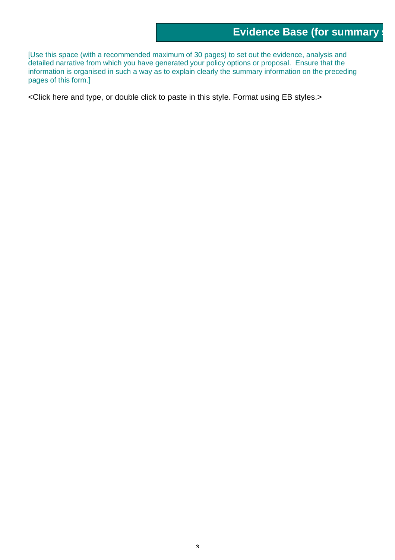[Use this space (with a recommended maximum of 30 pages) to set out the evidence, analysis and detailed narrative from which you have generated your policy options or proposal. Ensure that the information is organised in such a way as to explain clearly the summary information on the preceding pages of this form.]

<Click here and type, or double click to paste in this style. Format using EB styles.>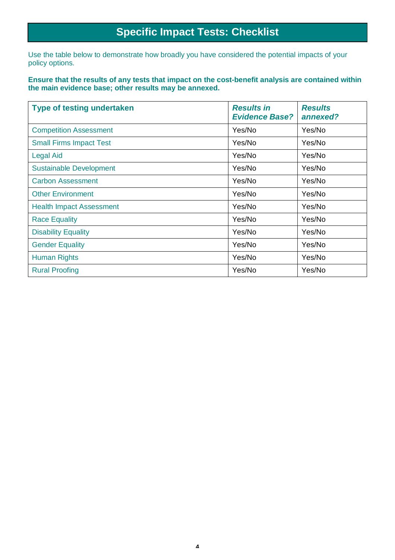## **Specific Impact Tests: Checklist**

Use the table below to demonstrate how broadly you have considered the potential impacts of your policy options.

**Ensure that the results of any tests that impact on the cost-benefit analysis are contained within the main evidence base; other results may be annexed.** 

| <b>Type of testing undertaken</b> | <b>Results in</b><br><b>Evidence Base?</b> | <b>Results</b><br>annexed? |
|-----------------------------------|--------------------------------------------|----------------------------|
| <b>Competition Assessment</b>     | Yes/No                                     | Yes/No                     |
| <b>Small Firms Impact Test</b>    | Yes/No                                     | Yes/No                     |
| <b>Legal Aid</b>                  | Yes/No                                     | Yes/No                     |
| <b>Sustainable Development</b>    | Yes/No                                     | Yes/No                     |
| <b>Carbon Assessment</b>          | Yes/No                                     | Yes/No                     |
| <b>Other Environment</b>          | Yes/No                                     | Yes/No                     |
| <b>Health Impact Assessment</b>   | Yes/No                                     | Yes/No                     |
| <b>Race Equality</b>              | Yes/No                                     | Yes/No                     |
| <b>Disability Equality</b>        | Yes/No                                     | Yes/No                     |
| <b>Gender Equality</b>            | Yes/No                                     | Yes/No                     |
| <b>Human Rights</b>               | Yes/No                                     | Yes/No                     |
| <b>Rural Proofing</b>             | Yes/No                                     | Yes/No                     |